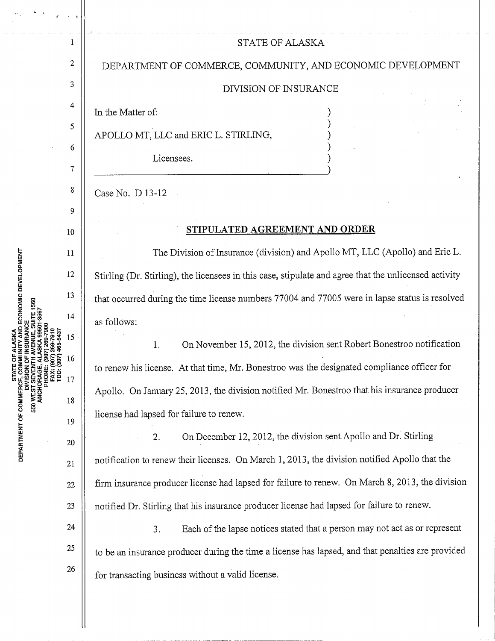|                    | 1              | <b>STATE OF ALASKA</b>                                                                                |
|--------------------|----------------|-------------------------------------------------------------------------------------------------------|
|                    | 2              | DEPARTMENT OF COMMERCE, COMMUNITY, AND ECONOMIC DEVELOPMENT                                           |
|                    | 3              | DIVISION OF INSURANCE                                                                                 |
|                    | 4              | In the Matter of:                                                                                     |
|                    | 5              | APOLLO MT, LLC and ERIC L. STIRLING,                                                                  |
|                    | 6              | Licensees.                                                                                            |
|                    | $\overline{7}$ |                                                                                                       |
|                    | 8<br>9         | Case No. D 13-12                                                                                      |
|                    | 10             | STIPULATED AGREEMENT AND ORDER                                                                        |
|                    | 11             | The Division of Insurance (division) and Apollo MT, LLC (Apollo) and Eric L.                          |
|                    | 12             | Stirling (Dr. Stirling), the licensees in this case, stipulate and agree that the unlicensed activity |
|                    | 13             | that occurred during the time license numbers 77004 and 77005 were in lapse status is resolved        |
|                    | 14             | as follows:                                                                                           |
|                    | 15             | On November 15, 2012, the division sent Robert Bonestroo notification<br>1.                           |
| IDD: (907) 465-543 | 16             | to renew his license. At that time, Mr. Bonestroo was the designated compliance officer for           |
|                    | 17             | Apollo. On January 25, 2013, the division notified Mr. Bonestroo that his insurance producer          |
|                    | 18             | license had lapsed for failure to renew.                                                              |
|                    | 19             | On December 12, 2012, the division sent Apollo and Dr. Stirling<br>2.                                 |
|                    | 20<br>21       | notification to renew their licenses. On March 1, 2013, the division notified Apollo that the         |
|                    | 22             | firm insurance producer license had lapsed for failure to renew. On March 8, 2013, the division       |
|                    | 23             | notified Dr. Stirling that his insurance producer license had lapsed for failure to renew.            |
|                    | 24             | Each of the lapse notices stated that a person may not act as or represent<br>3.                      |
|                    | 25             | to be an insurance producer during the time a license has lapsed, and that penalties are provided     |
|                    | 26             | for transacting business without a valid license.                                                     |
|                    |                |                                                                                                       |
|                    |                |                                                                                                       |
|                    |                |                                                                                                       |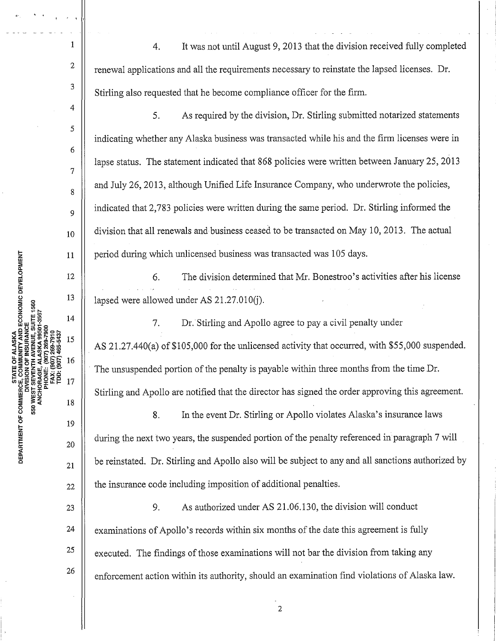4. It was not until August 9, 2013 that the division received fully completed renewal applications and all the requirements necessary to reinstate the lapsed licenses. Dr. Stirling also requested that he become compliance officer for the firm.

5. As required by the division, Dr. Stirling submitted notarized statements indicating whether any Alaska business was transacted while his and the firm licenses were in lapse status. The statement indicated that 868 policies were written between January 25, 2013 and July 26, 2013, although Unified Life Insurance Company, who underwrote the policies, indicated that 2, 783 policies were written during the same period. Dr. Stirling informed the division that all renewals and business ceased to be transacted on May 10, 2013. The actual period during which unlicensed business was transacted was 105 days.

6. The division determined that Mr. Bonestroo's activities after his license lapsed were allowed under AS 21.27.010(j).

7. Dr. Stirling and Apollo agree to pay a civil penalty under AS 21.27.440(a) of \$105,000 for the unlicensed activity that occurred, with \$55,000 suspended. The unsuspended portion of the penalty is payable within three months from the time Dr. Stirling and Apollo are notified that the director has signed the order approving this agreement.

8. In the event Dr. Stirling or Apollo violates Alaska's insurance laws during the next two years, the suspended portion of the penalty referenced in paragraph 7 will be reinstated. Dr. Stirling and Apollo also will be subject to any and all sanctions authorized by the insurance code including imposition of additional penalties.

23 26 9. As authorized under AS 21.06.130, the division will conduct examinations of Apollo's records within six months of the date this agreement is fully executed. The findings of those examinations will not bar the division from taking any enforcement action within its authority, should an examination find violations of Alaska law.

. . ' ' I

1

2

3

4

5

6

7

8

9

10

I I <sup>1</sup> I

24 25

22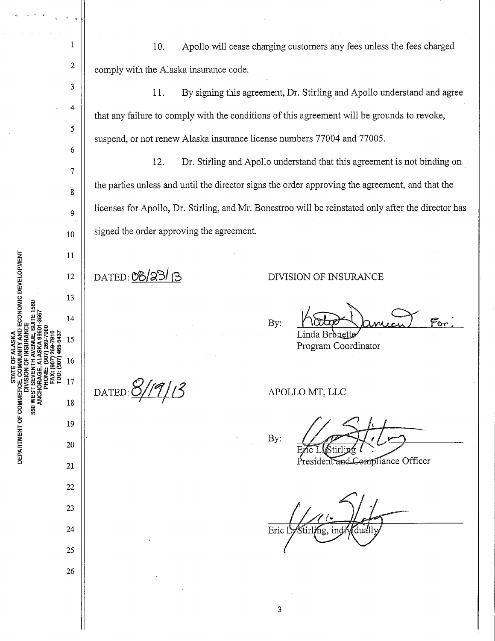1 10. Apollo will cease charging customers any fees unless the fees charged 2 comply with the Alaska insurance code. 3 11. By signing this agreement, Dr. Stirling and Apollo understand and agree 4 that any failure to comply with the conditions of this agreement will be grounds to revoke, 5 suspend, or not renew Alaska insurance license numbers 77004 and 77005. 6 12. Dr. Stirling and Apollo understand that this agreement is not binding on 7 the parties tmless and until the director signs the order approving the agreement, and that the 8 licenses for Apollo, Dr. Stirling, and Mr. Bonestroo will be reinstated only after the director has 9 signed the order approving the agreement. 10 11 DATED: <u>08/23/ 13</u> DIVISION OF INSURANCE 12 13 Koto Januar For: 14 By: 15 Program Coordinator 16 17  $\frac{S}{I}$   $\frac{S}{I}$   $\frac{S}{I}$ 18 19 By: 20 President and Compliance Officer 21 22 23 24 Eric I Štirli⁄ng, ind ์ต่าเส่ 25 26

AND ECONOMIC DEVELOPMENT 550 WES **12 DE DEPAR** 

3